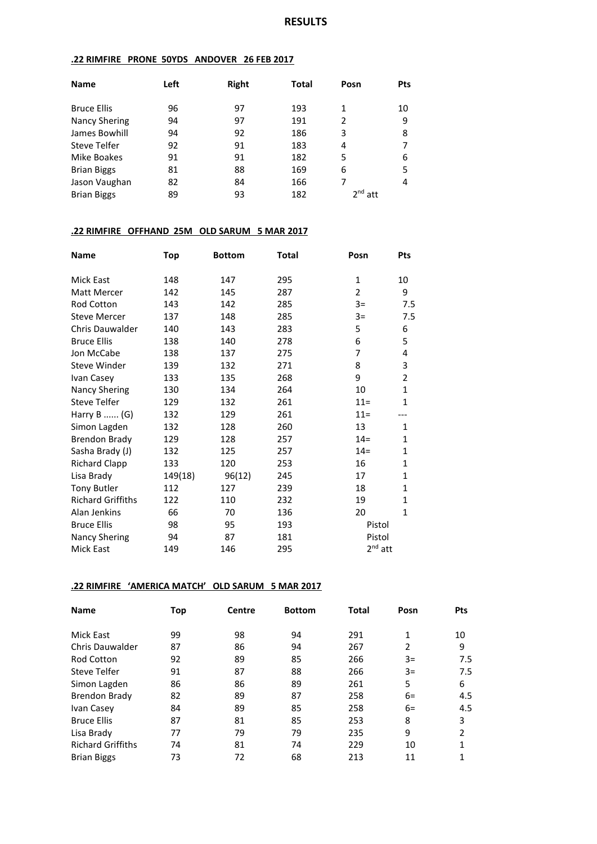### **.22 RIMFIRE PRONE 50YDS ANDOVER 26 FEB 2017**

| <b>Name</b>          | Left | <b>Right</b> | Total | Posn      | <b>Pts</b> |
|----------------------|------|--------------|-------|-----------|------------|
|                      |      |              |       |           |            |
| <b>Bruce Ellis</b>   | 96   | 97           | 193   | 1         | 10         |
| <b>Nancy Shering</b> | 94   | 97           | 191   | 2         | 9          |
| James Bowhill        | 94   | 92           | 186   | 3         | 8          |
| <b>Steve Telfer</b>  | 92   | 91           | 183   | 4         |            |
| Mike Boakes          | 91   | 91           | 182   | 5         | 6          |
| <b>Brian Biggs</b>   | 81   | 88           | 169   | 6         | 5          |
| Jason Vaughan        | 82   | 84           | 166   | 7         | 4          |
| <b>Brian Biggs</b>   | 89   | 93           | 182   | $2nd$ att |            |

### **.22 RIMFIRE OFFHAND 25M OLD SARUM 5 MAR 2017**

| Name                     | Top     | <b>Bottom</b> | Total | Posn           | Pts            |
|--------------------------|---------|---------------|-------|----------------|----------------|
| <b>Mick East</b>         | 148     | 147           | 295   | 1              | 10             |
| Matt Mercer              | 142     | 145           | 287   | $\overline{2}$ | 9              |
| Rod Cotton               | 143     | 142           | 285   | $3=$           | 7.5            |
| <b>Steve Mercer</b>      | 137     | 148           | 285   | $3=$           | 7.5            |
| Chris Dauwalder          | 140     | 143           | 283   | 5              | 6              |
| <b>Bruce Ellis</b>       | 138     | 140           | 278   | 6              | 5              |
| Jon McCabe               | 138     | 137           | 275   | 7              | 4              |
| Steve Winder             | 139     | 132           | 271   | 8              | 3              |
| Ivan Casey               | 133     | 135           | 268   | 9              | $\overline{2}$ |
| <b>Nancy Shering</b>     | 130     | 134           | 264   | 10             | $\mathbf{1}$   |
| <b>Steve Telfer</b>      | 129     | 132           | 261   | $11 =$         | $\mathbf{1}$   |
| Harry B  (G)             | 132     | 129           | 261   | $11 =$         |                |
| Simon Lagden             | 132     | 128           | 260   | 13             | 1              |
| <b>Brendon Brady</b>     | 129     | 128           | 257   | $14=$          | $\mathbf{1}$   |
| Sasha Brady (J)          | 132     | 125           | 257   | $14=$          | $\mathbf{1}$   |
| <b>Richard Clapp</b>     | 133     | 120           | 253   | 16             | $\mathbf{1}$   |
| Lisa Brady               | 149(18) | 96(12)        | 245   | 17             | $\mathbf{1}$   |
| <b>Tony Butler</b>       | 112     | 127           | 239   | 18             | $\mathbf{1}$   |
| <b>Richard Griffiths</b> | 122     | 110           | 232   | 19             | $\mathbf{1}$   |
| Alan Jenkins             | 66      | 70            | 136   | 20             | $\mathbf{1}$   |
| <b>Bruce Ellis</b>       | 98      | 95            | 193   | Pistol         |                |
| <b>Nancy Shering</b>     | 94      | 87            | 181   | Pistol         |                |
| Mick East                | 149     | 146           | 295   | $2nd$ att      |                |

### **.22 RIMFIRE 'AMERICA MATCH' OLD SARUM 5 MAR 2017**

| <b>Name</b>              | Top | <b>Centre</b> | <b>Bottom</b> | Total | Posn | <b>Pts</b>     |
|--------------------------|-----|---------------|---------------|-------|------|----------------|
| Mick East                | 99  | 98            | 94            | 291   | 1    | 10             |
| Chris Dauwalder          | 87  | 86            | 94            | 267   | 2    | 9              |
| <b>Rod Cotton</b>        | 92  | 89            | 85            | 266   | $3=$ | 7.5            |
| Steve Telfer             | 91  | 87            | 88            | 266   | $3=$ | 7.5            |
| Simon Lagden             | 86  | 86            | 89            | 261   | 5    | 6              |
| <b>Brendon Brady</b>     | 82  | 89            | 87            | 258   | $6=$ | 4.5            |
| Ivan Casey               | 84  | 89            | 85            | 258   | $6=$ | 4.5            |
| <b>Bruce Ellis</b>       | 87  | 81            | 85            | 253   | 8    | 3              |
| Lisa Brady               | 77  | 79            | 79            | 235   | 9    | $\mathfrak{p}$ |
| <b>Richard Griffiths</b> | 74  | 81            | 74            | 229   | 10   | 1              |
| <b>Brian Biggs</b>       | 73  | 72            | 68            | 213   | 11   | 1              |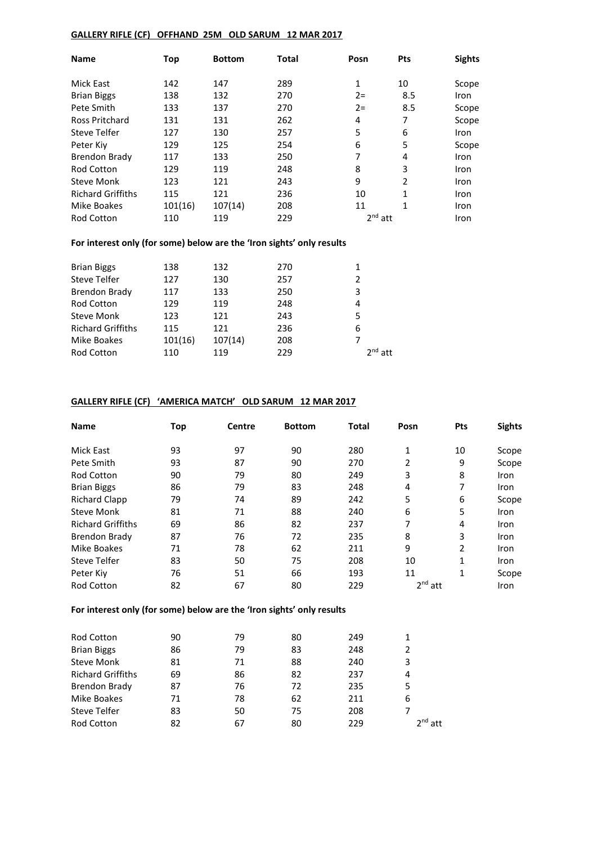### **GALLERY RIFLE (CF) OFFHAND 25M OLD SARUM 12 MAR 2017**

| <b>Name</b>              | Top     | <b>Bottom</b> | <b>Total</b> | Posn      | <b>Pts</b>     | <b>Sights</b> |
|--------------------------|---------|---------------|--------------|-----------|----------------|---------------|
| Mick East                | 142     | 147           | 289          | 1         | 10             | Scope         |
| <b>Brian Biggs</b>       | 138     | 132           | 270          | $2 =$     | 8.5            | Iron          |
| Pete Smith               | 133     | 137           | 270          | $2 =$     | 8.5            | Scope         |
| Ross Pritchard           | 131     | 131           | 262          | 4         | 7              | Scope         |
| <b>Steve Telfer</b>      | 127     | 130           | 257          | 5         | 6              | Iron          |
| Peter Kiy                | 129     | 125           | 254          | 6         | 5              | Scope         |
| <b>Brendon Brady</b>     | 117     | 133           | 250          | 7         | 4              | Iron          |
| <b>Rod Cotton</b>        | 129     | 119           | 248          | 8         | 3              | Iron          |
| <b>Steve Monk</b>        | 123     | 121           | 243          | 9         | $\mathfrak{p}$ | Iron          |
| <b>Richard Griffiths</b> | 115     | 121           | 236          | 10        | 1              | Iron          |
| Mike Boakes              | 101(16) | 107(14)       | 208          | 11        | 1              | <b>Iron</b>   |
| <b>Rod Cotton</b>        | 110     | 119           | 229          | $2nd$ att |                | Iron          |

## **For interest only (for some) below are the 'Iron sights' only results**

| 138     | 132     | 270 |              |
|---------|---------|-----|--------------|
| 127     | 130     | 257 | 2            |
| 117     | 133     | 250 | 3            |
| 129     | 119     | 248 | 4            |
| 123     | 121     | 243 | 5            |
| 115     | 121     | 236 | 6            |
| 101(16) | 107(14) | 208 |              |
| 110     | 119     | 229 | $2^{nd}$ att |
|         |         |     |              |

## **GALLERY RIFLE (CF) 'AMERICA MATCH' OLD SARUM 12 MAR 2017**

| <b>Name</b>              | Top | <b>Centre</b> | <b>Bottom</b> | Total | Posn      | <b>Pts</b> | <b>Sights</b> |
|--------------------------|-----|---------------|---------------|-------|-----------|------------|---------------|
| <b>Mick East</b>         | 93  | 97            | 90            | 280   | 1         | 10         | Scope         |
| Pete Smith               | 93  | 87            | 90            | 270   | 2         | 9          | Scope         |
| <b>Rod Cotton</b>        | 90  | 79            | 80            | 249   | 3         | 8          | Iron          |
| <b>Brian Biggs</b>       | 86  | 79            | 83            | 248   | 4         | 7          | <b>Iron</b>   |
| <b>Richard Clapp</b>     | 79  | 74            | 89            | 242   | 5         | 6          | Scope         |
| <b>Steve Monk</b>        | 81  | 71            | 88            | 240   | 6         | 5          | Iron          |
| <b>Richard Griffiths</b> | 69  | 86            | 82            | 237   | 7         | 4          | Iron          |
| <b>Brendon Brady</b>     | 87  | 76            | 72            | 235   | 8         | 3          | Iron          |
| <b>Mike Boakes</b>       | 71  | 78            | 62            | 211   | 9         | 2          | Iron          |
| Steve Telfer             | 83  | 50            | 75            | 208   | 10        | 1          | <b>Iron</b>   |
| Peter Kiv                | 76  | 51            | 66            | 193   | 11        | 1          | Scope         |
| <b>Rod Cotton</b>        | 82  | 67            | 80            | 229   | $2nd$ att |            | Iron          |

## **For interest only (for some) below are the 'Iron sights' only results**

| <b>Rod Cotton</b>        | 90 | 79 | 80 | 249 |           |
|--------------------------|----|----|----|-----|-----------|
| <b>Brian Biggs</b>       | 86 | 79 | 83 | 248 |           |
| <b>Steve Monk</b>        | 81 | 71 | 88 | 240 | 3         |
| <b>Richard Griffiths</b> | 69 | 86 | 82 | 237 | 4         |
| <b>Brendon Brady</b>     | 87 | 76 | 72 | 235 |           |
| Mike Boakes              | 71 | 78 | 62 | 211 | 6         |
| <b>Steve Telfer</b>      | 83 | 50 | 75 | 208 |           |
| <b>Rod Cotton</b>        | 82 | 67 | 80 | 229 | $2nd$ att |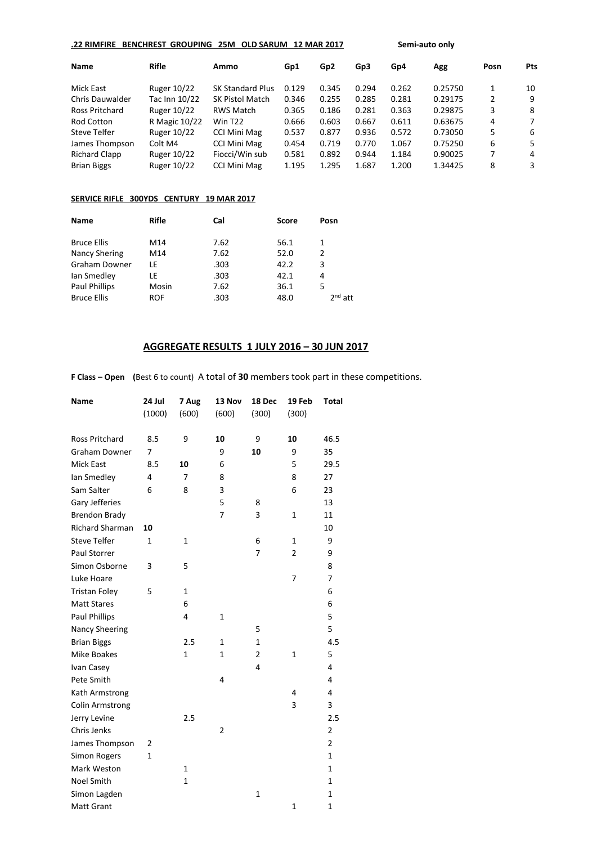| .22 RIMFIRE          | <b>BENCHREST GROUPING</b> | 25M                     | <b>OLD SARUM</b><br><b>12 MAR 2017</b> |                 |       | Semi-auto only |         |      |            |
|----------------------|---------------------------|-------------------------|----------------------------------------|-----------------|-------|----------------|---------|------|------------|
| <b>Name</b>          | <b>Rifle</b>              | Ammo                    | Gp1                                    | Gp <sub>2</sub> | Gp3   | Gp4            | Agg     | Posn | <b>Pts</b> |
| Mick East            | Ruger 10/22               | <b>SK Standard Plus</b> | 0.129                                  | 0.345           | 0.294 | 0.262          | 0.25750 | 1    | 10         |
| Chris Dauwalder      | Tac Inn 10/22             | <b>SK Pistol Match</b>  | 0.346                                  | 0.255           | 0.285 | 0.281          | 0.29175 | 2    | 9          |
| Ross Pritchard       | Ruger 10/22               | <b>RWS Match</b>        | 0.365                                  | 0.186           | 0.281 | 0.363          | 0.29875 | 3    | 8          |
| Rod Cotton           | R Magic 10/22             | Win T <sub>22</sub>     | 0.666                                  | 0.603           | 0.667 | 0.611          | 0.63675 | 4    | 7          |
| Steve Telfer         | Ruger 10/22               | <b>CCI Mini Mag</b>     | 0.537                                  | 0.877           | 0.936 | 0.572          | 0.73050 | 5    | 6          |
| James Thompson       | Colt M4                   | <b>CCI Mini Mag</b>     | 0.454                                  | 0.719           | 0.770 | 1.067          | 0.75250 | 6    | 5.         |
| <b>Richard Clapp</b> | Ruger 10/22               | Fiocci/Win sub          | 0.581                                  | 0.892           | 0.944 | 1.184          | 0.90025 | 7    | 4          |
| <b>Brian Biggs</b>   | Ruger 10/22               | <b>CCI Mini Mag</b>     | 1.195                                  | 1.295           | 1.687 | 1.200          | 1.34425 | 8    | 3          |
|                      |                           |                         |                                        |                 |       |                |         |      |            |

### **SERVICE RIFLE 300YDS CENTURY 19 MAR 2017**

| Name                 | Rifle | Cal  | <b>Score</b> | Posn      |
|----------------------|-------|------|--------------|-----------|
| <b>Bruce Ellis</b>   | M14   | 7.62 | 56.1         | 1         |
| Nancy Shering        | M14   | 7.62 | 52.0         | 2         |
| <b>Graham Downer</b> | LE    | .303 | 42.2         | 3         |
| Ian Smedley          | LE    | .303 | 42.1         | 4         |
| <b>Paul Phillips</b> | Mosin | 7.62 | 36.1         | 5         |
| <b>Bruce Ellis</b>   | ROF   | .303 | 48.0         | $2nd$ att |

# **AGGREGATE RESULTS 1 JULY 2016 – 30 JUN 2017**

**F Class – Open (**Best 6 to count) A total of **30** members took part in these competitions.

| Name                   | 24 Jul | 7 Aug          | 13 Nov         | 18 Dec         | 19 Feb         | <b>Total</b>   |
|------------------------|--------|----------------|----------------|----------------|----------------|----------------|
|                        | (1000) | (600)          | (600)          | (300)          | (300)          |                |
| Ross Pritchard         | 8.5    | 9              | 10             | 9              | 10             | 46.5           |
| <b>Graham Downer</b>   | 7      |                | 9              | 10             | 9              | 35             |
| Mick East              | 8.5    | 10             | 6              |                | 5              | 29.5           |
| lan Smedley            | 4      | $\overline{7}$ | 8              |                | 8              | 27             |
| Sam Salter             | 6      | 8              | 3              |                | 6              | 23             |
| Gary Jefferies         |        |                | 5              | 8              |                | 13             |
| <b>Brendon Brady</b>   |        |                | 7              | 3              | $\mathbf{1}$   | 11             |
| <b>Richard Sharman</b> | 10     |                |                |                |                | 10             |
| <b>Steve Telfer</b>    | 1      | 1              |                | 6              | 1              | 9              |
| <b>Paul Storrer</b>    |        |                |                | 7              | $\overline{2}$ | 9              |
| Simon Osborne          | 3      | 5              |                |                |                | 8              |
| Luke Hoare             |        |                |                |                | 7              | 7              |
| <b>Tristan Foley</b>   | 5      | 1              |                |                |                | 6              |
| <b>Matt Stares</b>     |        | 6              |                |                |                | 6              |
| <b>Paul Phillips</b>   |        | 4              | $\mathbf{1}$   |                |                | 5              |
| Nancy Sheering         |        |                |                | 5              |                | 5              |
| <b>Brian Biggs</b>     |        | 2.5            | $\mathbf{1}$   | $\mathbf 1$    |                | 4.5            |
| <b>Mike Boakes</b>     |        | $\mathbf{1}$   | 1              | $\overline{2}$ | $\mathbf{1}$   | 5              |
| Ivan Casey             |        |                |                | 4              |                | 4              |
| Pete Smith             |        |                | 4              |                |                | 4              |
| Kath Armstrong         |        |                |                |                | 4              | 4              |
| <b>Colin Armstrong</b> |        |                |                |                | 3              | 3              |
| Jerry Levine           |        | 2.5            |                |                |                | 2.5            |
| Chris Jenks            |        |                | $\overline{2}$ |                |                | $\overline{2}$ |
| James Thompson         | 2      |                |                |                |                | $\overline{2}$ |
| <b>Simon Rogers</b>    | 1      |                |                |                |                | $\mathbf{1}$   |
| Mark Weston            |        | 1              |                |                |                | $\mathbf{1}$   |
| <b>Noel Smith</b>      |        | $\mathbf{1}$   |                |                |                | $\mathbf{1}$   |
| Simon Lagden           |        |                |                | $\mathbf{1}$   |                | $\mathbf 1$    |
| Matt Grant             |        |                |                |                | 1              | $\mathbf{1}$   |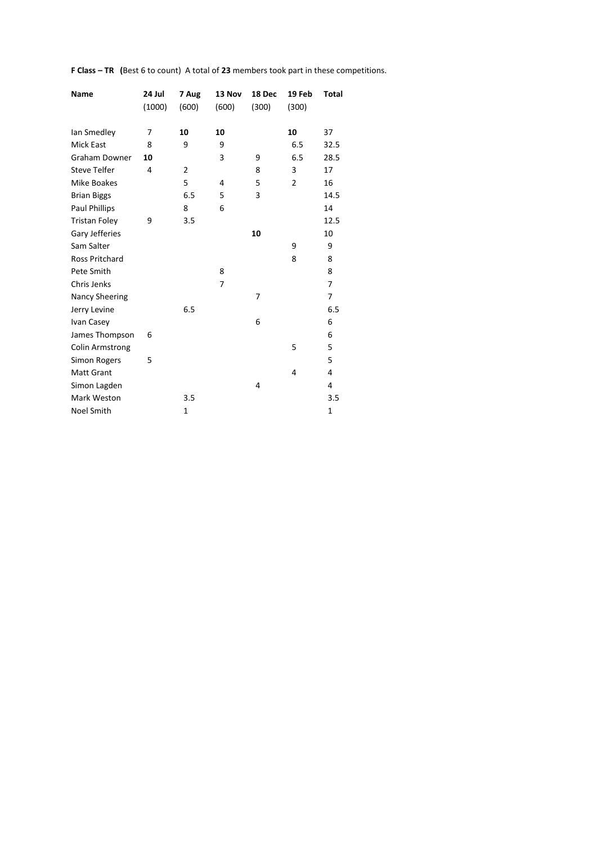**F Class – TR (**Best 6 to count) A total of **23** members took part in these competitions.

| Name                   | 24 Jul<br>(1000) | 7 Aug<br>(600) | 13 Nov<br>(600) | 18 Dec<br>(300) | 19 Feb<br>(300) | Total        |
|------------------------|------------------|----------------|-----------------|-----------------|-----------------|--------------|
| lan Smedley            | 7                | 10             | 10              |                 | 10              | 37           |
| <b>Mick East</b>       | 8                | 9              | 9               |                 | 6.5             | 32.5         |
| <b>Graham Downer</b>   | 10               |                | 3               | 9               | 6.5             | 28.5         |
| <b>Steve Telfer</b>    | 4                | $\overline{2}$ |                 | 8               | 3               | 17           |
| Mike Boakes            |                  | 5              | $\overline{4}$  | 5               | $\overline{2}$  | 16           |
| <b>Brian Biggs</b>     |                  | 6.5            | 5               | 3               |                 | 14.5         |
| <b>Paul Phillips</b>   |                  | 8              | 6               |                 |                 | 14           |
| <b>Tristan Foley</b>   | 9                | 3.5            |                 |                 |                 | 12.5         |
| Gary Jefferies         |                  |                |                 | 10              |                 | 10           |
| Sam Salter             |                  |                |                 |                 | 9               | 9            |
| <b>Ross Pritchard</b>  |                  |                |                 |                 | 8               | 8            |
| Pete Smith             |                  |                | 8               |                 |                 | 8            |
| Chris Jenks            |                  |                | 7               |                 |                 | 7            |
| Nancy Sheering         |                  |                |                 | 7               |                 | 7            |
| Jerry Levine           |                  | 6.5            |                 |                 |                 | 6.5          |
| Ivan Casey             |                  |                |                 | 6               |                 | 6            |
| James Thompson         | 6                |                |                 |                 |                 | 6            |
| <b>Colin Armstrong</b> |                  |                |                 |                 | 5               | 5            |
| Simon Rogers           | 5                |                |                 |                 |                 | 5            |
| <b>Matt Grant</b>      |                  |                |                 |                 | 4               | 4            |
| Simon Lagden           |                  |                |                 | 4               |                 | 4            |
| Mark Weston            |                  | 3.5            |                 |                 |                 | 3.5          |
| <b>Noel Smith</b>      |                  | 1              |                 |                 |                 | $\mathbf{1}$ |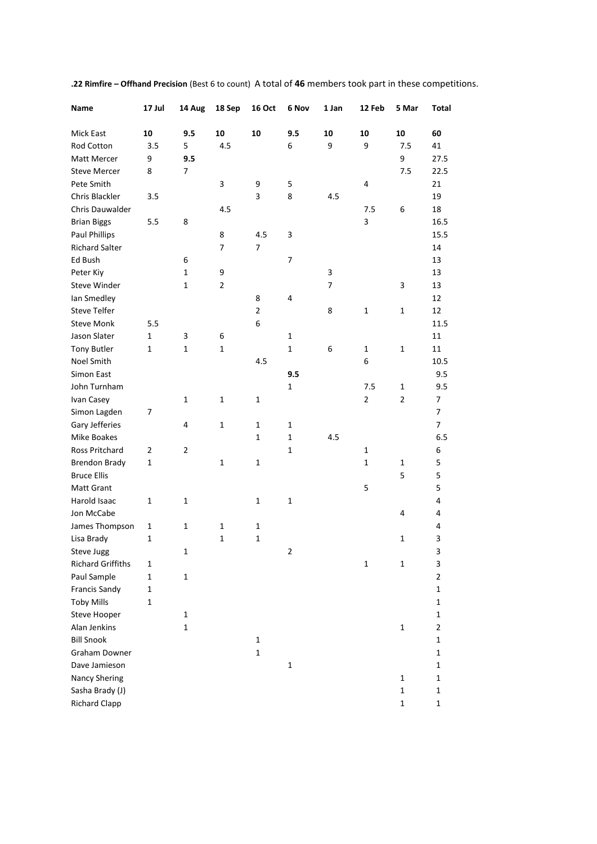| Name                     | 17 Jul       | 14 Aug         | 18 Sep         | <b>16 Oct</b>  | 6 Nov                   | 1 Jan | 12 Feb         | 5 Mar          | Total          |
|--------------------------|--------------|----------------|----------------|----------------|-------------------------|-------|----------------|----------------|----------------|
| Mick East                | 10           | 9.5            | 10             | 10             | 9.5                     | 10    | 10             | 10             | 60             |
| Rod Cotton               | 3.5          | 5              | 4.5            |                | 6                       | 9     | 9              | 7.5            | 41             |
| Matt Mercer              | 9            | 9.5            |                |                |                         |       |                | 9              | 27.5           |
| <b>Steve Mercer</b>      | 8            | 7              |                |                |                         |       |                | 7.5            | 22.5           |
| Pete Smith               |              |                | 3              | 9              | 5                       |       | 4              |                | 21             |
| Chris Blackler           | 3.5          |                |                | 3              | 8                       | 4.5   |                |                | 19             |
| Chris Dauwalder          |              |                | 4.5            |                |                         |       | 7.5            | 6              | 18             |
| <b>Brian Biggs</b>       | 5.5          | 8              |                |                |                         |       | 3              |                | 16.5           |
| <b>Paul Phillips</b>     |              |                | 8              | 4.5            | 3                       |       |                |                | 15.5           |
| <b>Richard Salter</b>    |              |                | 7              | $\overline{7}$ |                         |       |                |                | 14             |
| Ed Bush                  |              | 6              |                |                | 7                       |       |                |                | 13             |
| Peter Kiy                |              | $\mathbf 1$    | 9              |                |                         | 3     |                |                | 13             |
| Steve Winder             |              | 1              | $\overline{2}$ |                |                         | 7     |                | 3              | 13             |
| lan Smedley              |              |                |                | 8              | 4                       |       |                |                | 12             |
| <b>Steve Telfer</b>      |              |                |                | $\overline{2}$ |                         | 8     | $\mathbf{1}$   | $\mathbf{1}$   | 12             |
| <b>Steve Monk</b>        | 5.5          |                |                | 6              |                         |       |                |                | 11.5           |
| Jason Slater             | 1            | 3              | 6              |                | 1                       |       |                |                | 11             |
| <b>Tony Butler</b>       | 1            | 1              | $\mathbf{1}$   |                | $\mathbf{1}$            | 6     | 1              | 1              | 11             |
| Noel Smith               |              |                |                | 4.5            |                         |       | 6              |                | 10.5           |
| <b>Simon East</b>        |              |                |                |                | 9.5                     |       |                |                | 9.5            |
| John Turnham             |              |                |                |                | 1                       |       | 7.5            | 1              | 9.5            |
| Ivan Casey               |              | 1              | 1              | 1              |                         |       | $\overline{2}$ | $\overline{2}$ | 7              |
| Simon Lagden             | 7            |                |                |                |                         |       |                |                | 7              |
| Gary Jefferies           |              | 4              | $\mathbf{1}$   | 1              | 1                       |       |                |                | 7              |
| Mike Boakes              |              |                |                | 1              | $\mathbf{1}$            | 4.5   |                |                | 6.5            |
| Ross Pritchard           | 2            | $\overline{2}$ |                |                | $\mathbf{1}$            |       | 1              |                | 6              |
| <b>Brendon Brady</b>     | $\mathbf{1}$ |                | 1              | 1              |                         |       | $\mathbf{1}$   | $\mathbf{1}$   | 5              |
| <b>Bruce Ellis</b>       |              |                |                |                |                         |       |                | 5              | 5              |
| Matt Grant               |              |                |                |                |                         |       | 5              |                | 5              |
| Harold Isaac             | 1            | 1              |                | 1              | 1                       |       |                |                | 4              |
| Jon McCabe               |              |                |                |                |                         |       |                | 4              | 4              |
| James Thompson           | 1            | 1              | 1              | 1              |                         |       |                |                | 4              |
| Lisa Brady               | 1            |                | 1              | $\mathbf{1}$   |                         |       |                | 1              | 3              |
| Steve Jugg               |              | $\mathbf 1$    |                |                | $\overline{\mathbf{c}}$ |       |                |                | 3              |
| <b>Richard Griffiths</b> | 1            |                |                |                |                         |       | $\mathbf 1$    | $\mathbf{1}$   | 3              |
| Paul Sample              | $\mathbf 1$  | $\mathbf 1$    |                |                |                         |       |                |                | $\overline{2}$ |
| Francis Sandy            | $\mathbf{1}$ |                |                |                |                         |       |                |                | 1              |
| <b>Toby Mills</b>        | 1            |                |                |                |                         |       |                |                | 1              |
| Steve Hooper             |              | $\mathbf{1}$   |                |                |                         |       |                |                | 1              |
| Alan Jenkins             |              | $\mathbf{1}$   |                |                |                         |       |                | $\mathbf 1$    | $\overline{2}$ |
| <b>Bill Snook</b>        |              |                |                | $\mathbf{1}$   |                         |       |                |                | 1              |
| Graham Downer            |              |                |                | $\mathbf{1}$   |                         |       |                |                | 1              |
| Dave Jamieson            |              |                |                |                | $\mathbf 1$             |       |                |                | 1              |
| Nancy Shering            |              |                |                |                |                         |       |                | $\mathbf 1$    | 1              |
| Sasha Brady (J)          |              |                |                |                |                         |       |                | $\mathbf 1$    | $\mathbf 1$    |
| <b>Richard Clapp</b>     |              |                |                |                |                         |       |                | $\mathbf{1}$   | $\mathbf 1$    |
|                          |              |                |                |                |                         |       |                |                |                |

**.22 Rimfire – Offhand Precision** (Best 6 to count) A total of **46** members took part in these competitions.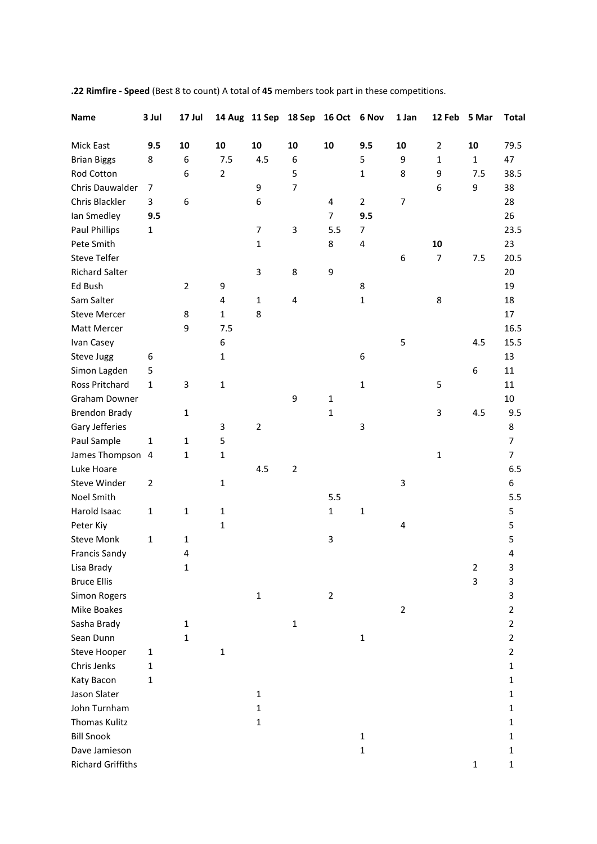| <b>Name</b>              | 3 Jul          | 17 Jul         |                | 14 Aug 11 Sep  | 18 Sep         | 16 Oct 6 Nov   |                | 1 Jan          | 12 Feb         | 5 Mar          | <b>Total</b>   |
|--------------------------|----------------|----------------|----------------|----------------|----------------|----------------|----------------|----------------|----------------|----------------|----------------|
| Mick East                | 9.5            | 10             | 10             | 10             | 10             | 10             | 9.5            | 10             | $\overline{2}$ | 10             | 79.5           |
| <b>Brian Biggs</b>       | 8              | 6              | 7.5            | 4.5            | 6              |                | 5              | 9              | 1              | $\mathbf{1}$   | 47             |
| Rod Cotton               |                | 6              | $\overline{2}$ |                | 5              |                | $\mathbf 1$    | 8              | 9              | 7.5            | 38.5           |
| Chris Dauwalder          | 7              |                |                | 9              | $\overline{7}$ |                |                |                | 6              | 9              | 38             |
| Chris Blackler           | 3              | 6              |                | 6              |                | 4              | $\overline{2}$ | $\overline{7}$ |                |                | 28             |
| lan Smedley              | 9.5            |                |                |                |                | $\overline{7}$ | 9.5            |                |                |                | 26             |
| <b>Paul Phillips</b>     | 1              |                |                | 7              | 3              | 5.5            | 7              |                |                |                | 23.5           |
| Pete Smith               |                |                |                | 1              |                | 8              | 4              |                | 10             |                | 23             |
| <b>Steve Telfer</b>      |                |                |                |                |                |                |                | 6              | $\overline{7}$ | 7.5            | 20.5           |
| <b>Richard Salter</b>    |                |                |                | 3              | 8              | 9              |                |                |                |                | 20             |
| Ed Bush                  |                | $\overline{2}$ | 9              |                |                |                | 8              |                |                |                | 19             |
| Sam Salter               |                |                | 4              | $\mathbf{1}$   | 4              |                | $\mathbf 1$    |                | 8              |                | 18             |
| <b>Steve Mercer</b>      |                | 8              | $\mathbf{1}$   | 8              |                |                |                |                |                |                | 17             |
| Matt Mercer              |                | 9              | 7.5            |                |                |                |                |                |                |                | 16.5           |
| Ivan Casey               |                |                | 6              |                |                |                |                | 5              |                | 4.5            | 15.5           |
| Steve Jugg               | 6              |                | 1              |                |                |                | 6              |                |                |                | 13             |
| Simon Lagden             | 5              |                |                |                |                |                |                |                |                | 6              | 11             |
| Ross Pritchard           | $\mathbf{1}$   | 3              | $\mathbf 1$    |                |                |                | $\mathbf{1}$   |                | 5              |                | 11             |
| <b>Graham Downer</b>     |                |                |                |                | 9              | $\mathbf{1}$   |                |                |                |                | 10             |
| <b>Brendon Brady</b>     |                | 1              |                |                |                | $\mathbf{1}$   |                |                | 3              | 4.5            | 9.5            |
| Gary Jefferies           |                |                | 3              | $\overline{2}$ |                |                | 3              |                |                |                | 8              |
| Paul Sample              | $\mathbf{1}$   | 1              | 5              |                |                |                |                |                |                |                | $\overline{7}$ |
| James Thompson           | 4              | 1              | $\mathbf 1$    |                |                |                |                |                | $\mathbf 1$    |                | 7              |
| Luke Hoare               |                |                |                | 4.5            | $\mathbf 2$    |                |                |                |                |                | 6.5            |
| Steve Winder             | $\overline{2}$ |                | 1              |                |                |                |                | 3              |                |                | 6              |
| Noel Smith               |                |                |                |                |                | 5.5            |                |                |                |                | 5.5            |
| Harold Isaac             | $\mathbf 1$    | 1              | $\mathbf 1$    |                |                | $\mathbf 1$    | $\mathbf 1$    |                |                |                | 5              |
| Peter Kiy                |                |                | $\mathbf{1}$   |                |                |                |                | 4              |                |                | 5              |
| <b>Steve Monk</b>        | $\mathbf{1}$   | 1              |                |                |                | 3              |                |                |                |                | 5              |
| <b>Francis Sandy</b>     |                | 4              |                |                |                |                |                |                |                |                | 4              |
| Lisa Brady               |                | 1              |                |                |                |                |                |                |                | $\overline{2}$ | 3              |
| <b>Bruce Ellis</b>       |                |                |                |                |                |                |                |                |                | 3              | 3              |
| <b>Simon Rogers</b>      |                |                |                | $\mathbf 1$    |                | $\overline{2}$ |                |                |                |                | 3              |
| Mike Boakes              |                |                |                |                |                |                |                | $\overline{2}$ |                |                | 2              |
| Sasha Brady              |                | 1              |                |                | $\mathbf{1}$   |                |                |                |                |                | $\overline{2}$ |
| Sean Dunn                |                | 1              |                |                |                |                | 1              |                |                |                | $\overline{2}$ |
| <b>Steve Hooper</b>      | $\mathbf{1}$   |                | $\mathbf 1$    |                |                |                |                |                |                |                | 2              |
| Chris Jenks              | $\mathbf{1}$   |                |                |                |                |                |                |                |                |                | 1              |
| Katy Bacon               | 1              |                |                |                |                |                |                |                |                |                | 1              |
| Jason Slater             |                |                |                | $\mathbf{1}$   |                |                |                |                |                |                | 1              |
| John Turnham             |                |                |                | 1              |                |                |                |                |                |                | 1              |
| <b>Thomas Kulitz</b>     |                |                |                | 1              |                |                |                |                |                |                | 1              |
| <b>Bill Snook</b>        |                |                |                |                |                |                | 1              |                |                |                | 1              |
| Dave Jamieson            |                |                |                |                |                |                | 1              |                |                |                | 1              |
| <b>Richard Griffiths</b> |                |                |                |                |                |                |                |                |                | $\mathbf 1$    | 1              |

**.22 Rimfire - Speed** (Best 8 to count) A total of **45** members took part in these competitions.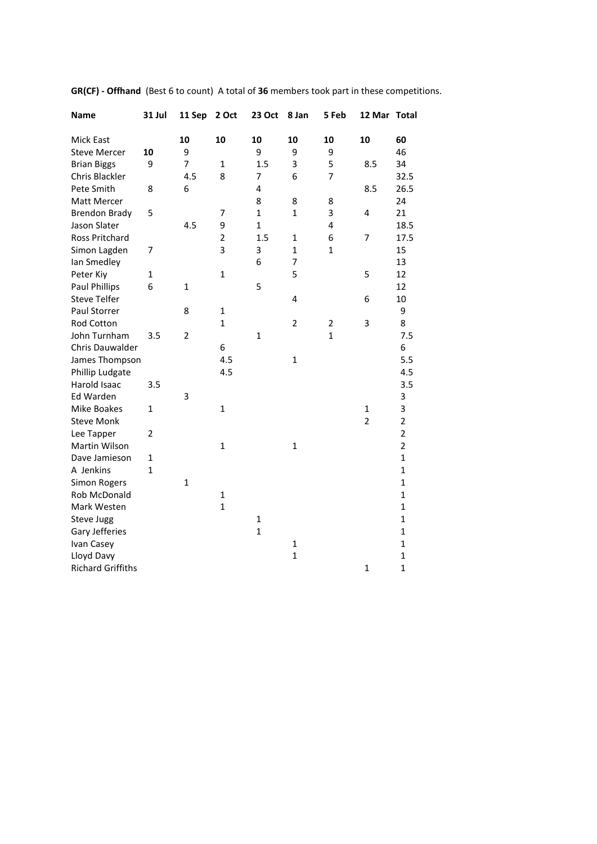| <b>Name</b>              | <b>31 Jul</b>  | 11 Sep         | 2 Oct          | <b>23 Oct</b> | 8 Jan          | 5 Feb        | 12 Mar Total   |                |
|--------------------------|----------------|----------------|----------------|---------------|----------------|--------------|----------------|----------------|
| Mick East                |                | 10             | 10             | 10            | 10             | 10           | 10             | 60             |
| <b>Steve Mercer</b>      | 10             | 9              |                | 9             | 9              | 9            |                | 46             |
| <b>Brian Biggs</b>       | 9              | $\overline{7}$ | $\mathbf{1}$   | 1.5           | 3              | 5            | 8.5            | 34             |
| Chris Blackler           |                | 4.5            | 8              | 7             | 6              | 7            |                | 32.5           |
| Pete Smith               | 8              | 6              |                | 4             |                |              | 8.5            | 26.5           |
| Matt Mercer              |                |                |                | 8             | 8              | 8            |                | 24             |
| <b>Brendon Brady</b>     | 5              |                | 7              | $\mathbf{1}$  | 1              | 3            | 4              | 21             |
| Jason Slater             |                | 4.5            | 9              | $\mathbf{1}$  |                | 4            |                | 18.5           |
| Ross Pritchard           |                |                | $\overline{2}$ | 1.5           | $\mathbf{1}$   | 6            | 7              | 17.5           |
| Simon Lagden             | 7              |                | 3              | 3             | 1              | $\mathbf{1}$ |                | 15             |
| lan Smedley              |                |                |                | 6             | $\overline{7}$ |              |                | 13             |
| Peter Kiy                | 1              |                | $\mathbf{1}$   |               | 5              |              | 5              | 12             |
| <b>Paul Phillips</b>     | 6              | 1              |                | 5             |                |              |                | 12             |
| <b>Steve Telfer</b>      |                |                |                |               | 4              |              | 6              | 10             |
| Paul Storrer             |                | 8              | $\mathbf{1}$   |               |                |              |                | 9              |
| Rod Cotton               |                |                | $\mathbf{1}$   |               | $\overline{2}$ | 2            | 3              | 8              |
| John Turnham             | 3.5            | $\overline{2}$ |                | $\mathbf 1$   |                | $\mathbf{1}$ |                | 7.5            |
| Chris Dauwalder          |                |                | 6              |               |                |              |                | 6              |
| James Thompson           |                |                | 4.5            |               | $\mathbf{1}$   |              |                | 5.5            |
| Phillip Ludgate          |                |                | 4.5            |               |                |              |                | 4.5            |
| Harold Isaac             | 3.5            |                |                |               |                |              |                | 3.5            |
| Ed Warden                |                | 3              |                |               |                |              |                | 3              |
| Mike Boakes              | $\mathbf{1}$   |                | $\mathbf{1}$   |               |                |              | 1              | 3              |
| <b>Steve Monk</b>        |                |                |                |               |                |              | $\overline{2}$ | $\overline{2}$ |
| Lee Tapper               | $\overline{2}$ |                |                |               |                |              |                | $\overline{2}$ |
| Martin Wilson            |                |                | $\mathbf{1}$   |               | $\mathbf{1}$   |              |                | $\overline{2}$ |
| Dave Jamieson            | $\mathbf{1}$   |                |                |               |                |              |                | $\mathbf{1}$   |
| A Jenkins                | $\mathbf{1}$   |                |                |               |                |              |                | $\mathbf{1}$   |
| <b>Simon Rogers</b>      |                | $\mathbf{1}$   |                |               |                |              |                | $\mathbf{1}$   |
| <b>Rob McDonald</b>      |                |                | $\mathbf{1}$   |               |                |              |                | $\mathbf{1}$   |
| Mark Westen              |                |                | $\mathbf{1}$   |               |                |              |                | $\mathbf{1}$   |
| Steve Jugg               |                |                |                | $\mathbf{1}$  |                |              |                | $\mathbf{1}$   |
| Gary Jefferies           |                |                |                | $\mathbf{1}$  |                |              |                | $\mathbf{1}$   |
| Ivan Casey               |                |                |                |               | 1              |              |                | $\mathbf{1}$   |
| Lloyd Davy               |                |                |                |               | $\overline{1}$ |              |                | $\mathbf{1}$   |
| <b>Richard Griffiths</b> |                |                |                |               |                |              | $\mathbf{1}$   | $\mathbf{1}$   |

**GR(CF) - Offhand** (Best 6 to count) A total of **36** members took part in these competitions.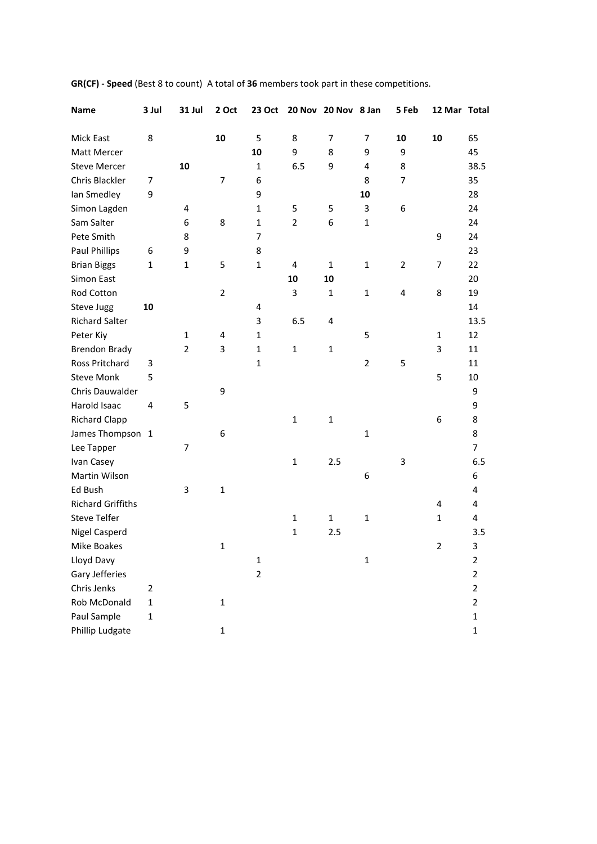| <b>Name</b>              | 3 Jul          | 31 Jul         | 2 Oct          | 23 Oct         |                | 20 Nov 20 Nov 8 Jan |                | 5 Feb          | 12 Mar Total   |                |
|--------------------------|----------------|----------------|----------------|----------------|----------------|---------------------|----------------|----------------|----------------|----------------|
| Mick East                | 8              |                | 10             | 5              | 8              | $\overline{7}$      | 7              | 10             | 10             | 65             |
| Matt Mercer              |                |                |                | 10             | 9              | 8                   | 9              | 9              |                | 45             |
| <b>Steve Mercer</b>      |                | 10             |                | $\mathbf{1}$   | 6.5            | 9                   | $\overline{4}$ | 8              |                | 38.5           |
| Chris Blackler           | 7              |                | 7              | 6              |                |                     | 8              | $\overline{7}$ |                | 35             |
| Ian Smedley              | 9              |                |                | 9              |                |                     | 10             |                |                | 28             |
| Simon Lagden             |                | 4              |                | $\mathbf{1}$   | 5              | 5                   | 3              | 6              |                | 24             |
| Sam Salter               |                | 6              | 8              | $\mathbf{1}$   | $\overline{2}$ | 6                   | $\mathbf 1$    |                |                | 24             |
| Pete Smith               |                | 8              |                | $\overline{7}$ |                |                     |                |                | 9              | 24             |
| <b>Paul Phillips</b>     | 6              | 9              |                | 8              |                |                     |                |                |                | 23             |
| <b>Brian Biggs</b>       | $\mathbf 1$    | $\mathbf{1}$   | 5              | $\mathbf{1}$   | 4              | $\mathbf{1}$        | $\mathbf{1}$   | 2              | 7              | 22             |
| Simon East               |                |                |                |                | 10             | 10                  |                |                |                | 20             |
| Rod Cotton               |                |                | $\overline{2}$ |                | 3              | $\mathbf{1}$        | $\mathbf 1$    | 4              | 8              | 19             |
| Steve Jugg               | 10             |                |                | 4              |                |                     |                |                |                | 14             |
| <b>Richard Salter</b>    |                |                |                | 3              | 6.5            | 4                   |                |                |                | 13.5           |
| Peter Kiy                |                | 1              | 4              | $\mathbf{1}$   |                |                     | 5              |                | $\mathbf{1}$   | 12             |
| <b>Brendon Brady</b>     |                | $\overline{2}$ | 3              | $\mathbf{1}$   | $\mathbf{1}$   | $\mathbf{1}$        |                |                | 3              | 11             |
| Ross Pritchard           | 3              |                |                | $\mathbf{1}$   |                |                     | $\overline{2}$ | 5              |                | 11             |
| <b>Steve Monk</b>        | 5              |                |                |                |                |                     |                |                | 5              | 10             |
| Chris Dauwalder          |                |                | 9              |                |                |                     |                |                |                | 9              |
| Harold Isaac             | $\overline{4}$ | 5              |                |                |                |                     |                |                |                | 9              |
| <b>Richard Clapp</b>     |                |                |                |                | $\mathbf{1}$   | $\mathbf{1}$        |                |                | 6              | 8              |
| James Thompson 1         |                |                | 6              |                |                |                     | $\mathbf{1}$   |                |                | 8              |
| Lee Tapper               |                | 7              |                |                |                |                     |                |                |                | $\overline{7}$ |
| Ivan Casey               |                |                |                |                | $\mathbf{1}$   | 2.5                 |                | 3              |                | 6.5            |
| Martin Wilson            |                |                |                |                |                |                     | 6              |                |                | 6              |
| Ed Bush                  |                | 3              | $\mathbf{1}$   |                |                |                     |                |                |                | 4              |
| <b>Richard Griffiths</b> |                |                |                |                |                |                     |                |                | 4              | 4              |
| <b>Steve Telfer</b>      |                |                |                |                | 1              | $\mathbf{1}$        | $\mathbf 1$    |                | 1              | 4              |
| <b>Nigel Casperd</b>     |                |                |                |                | $\mathbf{1}$   | 2.5                 |                |                |                | 3.5            |
| Mike Boakes              |                |                | $\mathbf{1}$   |                |                |                     |                |                | $\overline{2}$ | 3              |
| Lloyd Davy               |                |                |                | $\mathbf 1$    |                |                     | $\mathbf 1$    |                |                | $\overline{2}$ |
| Gary Jefferies           |                |                |                | $\overline{2}$ |                |                     |                |                |                | $\overline{2}$ |
| Chris Jenks              | $\overline{2}$ |                |                |                |                |                     |                |                |                | $\overline{2}$ |
| <b>Rob McDonald</b>      | $\mathbf 1$    |                | 1              |                |                |                     |                |                |                | $\overline{2}$ |
| Paul Sample              | $\mathbf 1$    |                |                |                |                |                     |                |                |                | $\mathbf{1}$   |
| Phillip Ludgate          |                |                | $\mathbf 1$    |                |                |                     |                |                |                | $\mathbf{1}$   |

**GR(CF) - Speed** (Best 8 to count) A total of **36** members took part in these competitions.